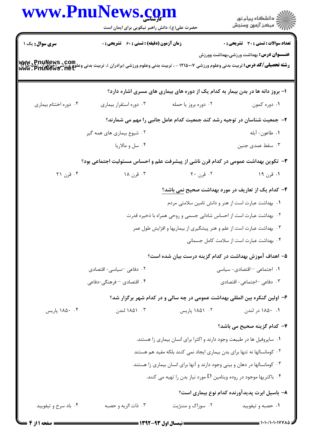|                                                                                                                                                    | حضرت علی(ع): دانش راهبر نیکویی برای ایمان است                                     |                                                                                 | ِ<br>∭ دانشڪاه پيام نور<br>∭ مرڪز آزمون وسنڊش  |  |
|----------------------------------------------------------------------------------------------------------------------------------------------------|-----------------------------------------------------------------------------------|---------------------------------------------------------------------------------|------------------------------------------------|--|
| <b>سری سوال:</b> یک ۱                                                                                                                              | <b>زمان آزمون (دقیقه) : تستی : 60 ٪ تشریحی : 0</b>                                |                                                                                 | <b>تعداد سوالات : تستی : 30 ٪ تشریحی : 0</b>   |  |
| رشته تحصیلی/کد درس: تربیت بدنی وعلوم ورزشی ۱۲۱۵۰۰۷ - ، تربیت بدنی وعلوم ورزشی (برادران )، تربیت بدنی وعلوم ورزشی (حواهزان)<br>Www . PriuNews . Het |                                                                                   |                                                                                 | <b>عنـــوان درس:</b> بهداشت ورزشی،بهداشت وورزش |  |
|                                                                                                                                                    |                                                                                   | ۱– بروز دانه ها در بدن بیمار به کدام یک از دوره های بیماری های مسری اشاره دارد؟ |                                                |  |
| ۰۴ دوره اختتام بیماری                                                                                                                              | ۰۳ دوره استقرار بیماری                                                            | ۰۲ دوره بروز یا حمله                                                            | ۰۱ دوره کمون                                   |  |
|                                                                                                                                                    | ۲- جمعیت شناسان در توجیه رشد کند جمعیت کدام عامل جانبی را مهم می شمارند؟          |                                                                                 |                                                |  |
|                                                                                                                                                    | ۰۲ شیوع بیماری های همه گیر                                                        |                                                                                 | ٠١ طاعون- آبله                                 |  |
|                                                                                                                                                    | ۰۴ سل و مالاريا                                                                   |                                                                                 | ۰۳ سقط عمدی جنین                               |  |
|                                                                                                                                                    | ۳- تکوین بهداشت عمومی در کدام قرن ناشی از پیشرفت علم و احساس مسئولیت اجتماعی بود؟ |                                                                                 |                                                |  |
| ۰۴ قرن ۲۱                                                                                                                                          | ۰۳ قرن ۱۸                                                                         | ۰۲ قرن ۲۰                                                                       | ۱. قرن ۱۹                                      |  |
|                                                                                                                                                    |                                                                                   | ۴– کدام یک از تعاریف در مورد بهداشت صحیح <u>نمی</u> باشد؟                       |                                                |  |
|                                                                                                                                                    |                                                                                   | ۰۱ بهداشت عبارت است از هنر و دانش تامین سلامتی مردم                             |                                                |  |
|                                                                                                                                                    | ۰۲ بهداشت عبارت است از احساس شادابی جسمی و روحی همراه با ذخیره قدرت               |                                                                                 |                                                |  |
|                                                                                                                                                    |                                                                                   | ۰۳ بهداشت عبارت است از علم و هنر پیشگیری از بیماریها و افزایش طول عمر           |                                                |  |
|                                                                                                                                                    |                                                                                   |                                                                                 | ۰۴ بهداشت عبارت است از سلامت کامل جسمانی       |  |
|                                                                                                                                                    |                                                                                   | ۵– اهداف آموزش بهداشت در کدام گزینه درست بیان شده است؟                          |                                                |  |
|                                                                                                                                                    | ۰۲ دفاعی <sup>—</sup> سیاسی- اقتصادی                                              |                                                                                 | ۰۱ اجتماعی - اقتصادی- سیاسی                    |  |
|                                                                                                                                                    | ۴. اقتصادی – فرهنگی-دفاعی                                                         |                                                                                 | ۰۳ دفاعی <sup>–</sup> اجتماعی- اقتصادی         |  |
|                                                                                                                                                    |                                                                                   | ۶- اولین گنکره بین المللی بهداشت عمومی در چه سالی و در کدام شهر برگزار شد؟      |                                                |  |
| ۰۴ ۱۸۵۰ پاریس                                                                                                                                      | ۰۳ - ۱۸۵۱ لندن                                                                    | ۰۲ ۱۸۵۱ پاریس                                                                   | ۰۱ ۱۸۵۰ در لندن                                |  |
|                                                                                                                                                    |                                                                                   |                                                                                 | ۷– کدام گزینه صحیح می باشد؟                    |  |
|                                                                                                                                                    | ۰۱ ساپروفیل ها در طبیعت وجود دارند و اکثرا برای انسان بیماری زا هستند.            |                                                                                 |                                                |  |
|                                                                                                                                                    | ۰۲ کومانسالها نه تنها برای بدن بیماری ایجاد نمی کنند بلکه مفید هم هستند           |                                                                                 |                                                |  |
|                                                                                                                                                    |                                                                                   | ۰۳ کومانسالها در دهان و بینی وجود دارند و آنها برای انسان بیماری زا هستند.      |                                                |  |
|                                                                                                                                                    |                                                                                   | ۰۴ باکتریها موجود در روده ویتامین $\mathrm{D}$ مورد نیاز بدن را تهیه می کنند.   |                                                |  |
|                                                                                                                                                    |                                                                                   |                                                                                 | ۸– باسیل ابرت پدیدآورنده کدام نوع بیماری است؟  |  |
| ۰۴ باد سرخ و تیفویید                                                                                                                               | ۰۳ ذات الريه و حصبه                                                               | ۰۲ سوزاک و مننژیت                                                               | ۰۱ حصبه و تيفوييد                              |  |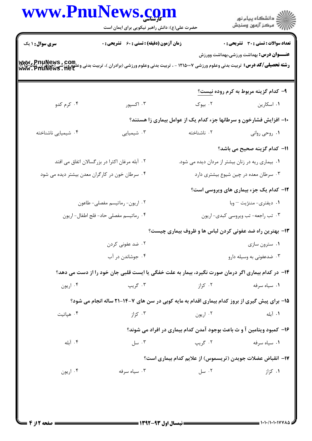|                     | www.PnuNews.com<br>حضرت علی(ع): دانش راهبر نیکویی برای ایمان است                                                                                                   |                                                                       | الاد دانشگاه پيام نور<br>الاسم مرکز آزمون وسنجش                                                |
|---------------------|--------------------------------------------------------------------------------------------------------------------------------------------------------------------|-----------------------------------------------------------------------|------------------------------------------------------------------------------------------------|
| سری سوال: ۱ یک      | <b>زمان آزمون (دقیقه) : تستی : 60 ٪ تشریحی : 0</b>                                                                                                                 |                                                                       | <b>تعداد سوالات : تستی : 30 - تشریحی : 0</b><br><b>عنـــوان درس:</b> بهداشت ورزشی،بهداشت وورزش |
|                     | <b>رشته تحصیلی/کد درس:</b> تربیت بدنی وعلوم ورزشی ۱۲۱۵۰۰۷ - ، تربیت بدنی وعلوم ورزشی (برادران )، تربیت بدنی وعلقی و Tulicas و Mww. PnuNews<br>Www. PfiuNews . 11et |                                                                       |                                                                                                |
|                     |                                                                                                                                                                    |                                                                       | ۹- کدام گزینه مربوط به کرم روده نیست <u>؟</u>                                                  |
| ۰۴ کرم کدو          | ۰۳ اکسپور                                                                                                                                                          |                                                                       | ۰۱ اسکارین مسلمان است.                                                                         |
|                     |                                                                                                                                                                    | ۱۰– افزایش فشارخون و سرطانها جزء کدام یک از عوامل بیماری زا هستند؟    |                                                                                                |
| ۰۴ شیمیایی ناشناخته | ۰۳ شیمیایی                                                                                                                                                         |                                                                       | ۰۱ روحی روانی <b>مسلم تو</b> استفاخته                                                          |
|                     |                                                                                                                                                                    |                                                                       | 11– كدام گزينه صحيح مي باشد؟                                                                   |
|                     | ۰۲ آبله مرغان اکثرا در بزرگسالان اتفاق می افتد                                                                                                                     | ۰۱ بیماری ریه در زنان بیشتر از مردان دیده می شود.                     |                                                                                                |
|                     | ۰۴ سرطان خون در کارگران معدن بیشتر دیده می شود                                                                                                                     |                                                                       | ۰۳ سرطان معده در چین شیوع بیشتری دارد                                                          |
|                     |                                                                                                                                                                    |                                                                       | <b>۱۲</b> - کدام یک جزء بیماری های ویروسی است؟                                                 |
|                     | ۰۲ اریون- رماتیسم مفصلی- طاعون                                                                                                                                     |                                                                       | ۰۱ دیفتری- مننژیت – وبا                                                                        |
|                     | ۰۴ رماتيسم مفصلي حاد- فلج اطفال- اريون                                                                                                                             |                                                                       | ۰۳ تب راجعه- تب ويروسي كبدي- اريون                                                             |
|                     |                                                                                                                                                                    | ۱۳- بهترین راه ضد عفونی کردن لباس ها و ظروف بیماری چیست؟              |                                                                                                |
|                     | ۰۲ ضد عفونی کردن                                                                                                                                                   |                                                                       | ۰۱ سترون سازی                                                                                  |
|                     | ۰۴ جوشاندن در آب                                                                                                                                                   |                                                                       | ۰۳ ضدعفونی به وسیله دارو                                                                       |
|                     | ۱۴- در کدام بیماری اگر درمان صورت نگیرد، بیمار به علت خفگی یا ایست قلبی جان خود را از دست می دهد؟                                                                  |                                                                       |                                                                                                |
| ۰۴ اریون            | ۰۳ گريپ                                                                                                                                                            | ۰۲ کزاز                                                               | ۰۱ سیاه سرفه                                                                                   |
|                     | ۱۵- برای پیش گیری از بروز کدام بیماری اقدام به مایه کوبی در سن های ۷-۱۴-۲۱ ساله انجام می شود؟                                                                      |                                                                       |                                                                                                |
| ۰۴ هپاتيت           | ۰۳ کزاز                                                                                                                                                            | ۰۲ اربون                                                              | ٠١. آبله                                                                                       |
|                     |                                                                                                                                                                    | ۱۶- کمبود ویتامین آ و ث باعث بوجود آمدن کدام بیماری در افراد می شوند؟ |                                                                                                |
| ۰۴ آبله             | ۰۳ سل                                                                                                                                                              | ۰۲ گريپ                                                               | ۰۱ سیاه سرفه                                                                                   |
|                     |                                                                                                                                                                    | ۱۷– انقباض عضلات جویدن (تریسموس) از علایم کدام بیماری است؟            |                                                                                                |
| ۰۴ اریون            | ۰۳ سیاه سرفه                                                                                                                                                       | ۰۲ سل                                                                 | ۰۱ کزاز                                                                                        |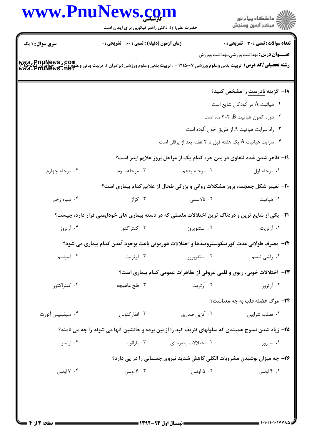| www.PnuNews.com                                                                                                                                                       |                                                    |                      | ر<br>ران دانشگاه پيام نور<br>ران مرکز آزمون وسنڊش                                                         |
|-----------------------------------------------------------------------------------------------------------------------------------------------------------------------|----------------------------------------------------|----------------------|-----------------------------------------------------------------------------------------------------------|
|                                                                                                                                                                       | حضرت علی(ع): دانش راهبر نیکویی برای ایمان است      |                      |                                                                                                           |
| <b>سری سوال : ۱ یک</b>                                                                                                                                                | <b>زمان آزمون (دقیقه) : تستی : 60 ٪ تشریحی : 0</b> |                      | <b>تعداد سوالات : تستی : 30 ٪ تشریحی : 0</b><br><b>عنـــوان درس:</b> بهداشت ورزشی،بهداشت وورزش            |
| <b>رشته تحصیلی/کد درس:</b> تربیت بدنی وعلوم ورزشی ۱۲۱۵۰۰۷ - ، تربیت بدنی وعلوم ورزشی (برادران )، تربیت بدنی وعلعی عدد<br>WWW.PIUNEWS . 118 L<br>WWW. PIIUNEWS . 118 L |                                                    |                      |                                                                                                           |
|                                                                                                                                                                       |                                                    |                      | <b>۱۸</b> – گزینه <u>نادرست</u> را مشخص کنید؟                                                             |
|                                                                                                                                                                       |                                                    |                      | ۰۱ هپاتیت A در کودکان شایع است                                                                            |
|                                                                                                                                                                       |                                                    |                      | ۰۲ دوره کمون هپاتیت B، ۲-۳ ماه است                                                                        |
|                                                                                                                                                                       |                                                    |                      | ۰۳ راه سرایت هپاتیت A از طریق خون آلوده است $\cdot$                                                       |
|                                                                                                                                                                       |                                                    |                      | ۰۴ سرایت هپاتیت A یک هفته قبل تا ۲ هفته بعد از یرقان است $\cdot$                                          |
|                                                                                                                                                                       |                                                    |                      | ۱۹- ظاهر شدن غدد لنفاوی در بدن جزء کدام یک از مراحل بروز علایم ایدز است؟                                  |
| ۰۴ مرحله چهارم                                                                                                                                                        | ۰۳ مرحله سوم                                       | ۰۲ مرحله پنجم        | ٠١ مرحله اول                                                                                              |
|                                                                                                                                                                       |                                                    |                      | <b>۳۰</b> - تغییر شکل جمجمه، بروز مشکلات روانی و بزرگی طحال از علایم کدام بیماری است؟                     |
| ۰۴ سیاه زخم                                                                                                                                                           | ۰۳ کزاز                                            | ۰۲ تالاسمی           | ۰۱ هپاتیت                                                                                                 |
|                                                                                                                                                                       |                                                    |                      | <b>۲۱</b> - یکی از شایع ترین و دردناک ترین اختلالات مفصلی که در دسته بیماری های خودایمنی قرار دارد، چیست؟ |
| ۰۴ آرتروز                                                                                                                                                             | ۰۳ کنتراکتور                                       | ۰۲ استئوپروز         | ۰۱ آرتریت                                                                                                 |
|                                                                                                                                                                       |                                                    |                      | ۲۲- مصرف طولانی مدت کورتیکوستروییدها و اختلالات هورمونی باعث بوجود آمدن کدام بیماری می شود؟               |
| ۰۴ اسیاسم                                                                                                                                                             | ۰۳ آرتریت                                          | ۰۲ استئوپروز         | ۰۱ راشي تيسم                                                                                              |
|                                                                                                                                                                       |                                                    |                      | <b>۲۳</b> - اختلالات خونی، ریوی و قلبی عروقی از تظاهرات عمومی کدام بیماری است؟                            |
| ۰۴ کنتراکتور                                                                                                                                                          | ۰۳ فلج ماهیچه                                      | ۰۲ آرتریت            | ۰۱ آرتروز                                                                                                 |
|                                                                                                                                                                       |                                                    |                      | <b>3۴- مرگ عضله قلب به چه معناست؟</b>                                                                     |
| ۰۴ سيفيليس آئورت                                                                                                                                                      | ۰۳ انفارکتوس                                       | ۰۲ آنژین صدری        | ۰۱ تصلب شرايين                                                                                            |
|                                                                                                                                                                       |                                                    |                      | ۲۵- زیاد شدن نسوج همبندی که سلولهای ظریف کبد را از بین برده و جانشین آنها می شوند را چه می نامند؟         |
| ۰۴ اولسر                                                                                                                                                              | ۰۳ پارانویا                                        | ۰۲ اختلالات باصره ای | ۰۱ سیروز                                                                                                  |
|                                                                                                                                                                       |                                                    |                      | ۲۶- چه میزان نوشیدن مشروبات الکلی کاهش شدید نیروی جسمانی را در پی دارد؟                                   |
| ۰۴ اونس                                                                                                                                                               | ۰۳ ۶ اونس                                          | ۰۲ ۵ اونس            | ۰۱ ۴ اونس                                                                                                 |
|                                                                                                                                                                       |                                                    |                      |                                                                                                           |